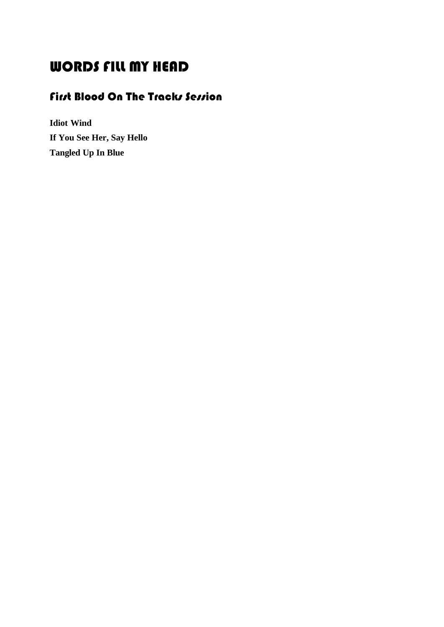# *WORDS FILL MY HEAD*

### *First Blood On The Tracks Session*

**Idiot Wind If You See Her, Say Hello Tangled Up In Blue**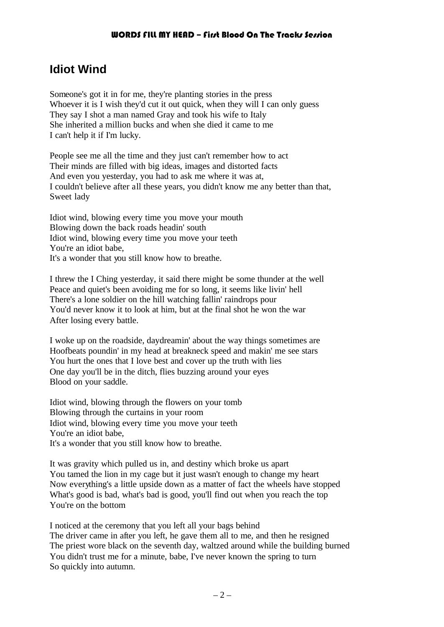### **Idiot Wind**

Someone's got it in for me, they're planting stories in the press Whoever it is I wish they'd cut it out quick, when they will I can only guess They say I shot a man named Gray and took his wife to Italy She inherited a million bucks and when she died it came to me I can't help it if I'm lucky.

People see me all the time and they just can't remember how to act Their minds are filled with big ideas, images and distorted facts And even you yesterday, you had to ask me where it was at, I couldn't believe after all these years, you didn't know me any better than that, Sweet lady

Idiot wind, blowing every time you move your mouth Blowing down the back roads headin' south Idiot wind, blowing every time you move your teeth You're an idiot babe, It's a wonder that you still know how to breathe.

I threw the I Ching yesterday, it said there might be some thunder at the well Peace and quiet's been avoiding me for so long, it seems like livin' hell There's a lone soldier on the hill watching fallin' raindrops pour You'd never know it to look at him, but at the final shot he won the war After losing every battle.

I woke up on the roadside, daydreamin' about the way things sometimes are Hoofbeats poundin' in my head at breakneck speed and makin' me see stars You hurt the ones that I love best and cover up the truth with lies One day you'll be in the ditch, flies buzzing around your eyes Blood on your saddle.

Idiot wind, blowing through the flowers on your tomb Blowing through the curtains in your room Idiot wind, blowing every time you move your teeth You're an idiot babe, It's a wonder that you still know how to breathe.

It was gravity which pulled us in, and destiny which broke us apart You tamed the lion in my cage but it just wasn't enough to change my heart Now everything's a little upside down as a matter of fact the wheels have stopped What's good is bad, what's bad is good, you'll find out when you reach the top You're on the bottom

I noticed at the ceremony that you left all your bags behind The driver came in after you left, he gave them all to me, and then he resigned The priest wore black on the seventh day, waltzed around while the building burned You didn't trust me for a minute, babe, I've never known the spring to turn So quickly into autumn.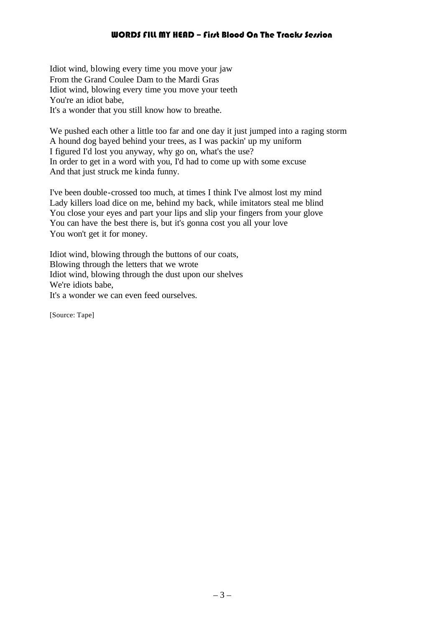#### *WORDS FILL MY HEAD – First Blood On The Tracks Session*

Idiot wind, blowing every time you move your jaw From the Grand Coulee Dam to the Mardi Gras Idiot wind, blowing every time you move your teeth You're an idiot babe, It's a wonder that you still know how to breathe.

We pushed each other a little too far and one day it just jumped into a raging storm A hound dog bayed behind your trees, as I was packin' up my uniform I figured I'd lost you anyway, why go on, what's the use? In order to get in a word with you, I'd had to come up with some excuse And that just struck me kinda funny.

I've been double-crossed too much, at times I think I've almost lost my mind Lady killers load dice on me, behind my back, while imitators steal me blind You close your eyes and part your lips and slip your fingers from your glove You can have the best there is, but it's gonna cost you all your love You won't get it for money.

Idiot wind, blowing through the buttons of our coats, Blowing through the letters that we wrote Idiot wind, blowing through the dust upon our shelves We're idiots babe, It's a wonder we can even feed ourselves.

[Source: Tape]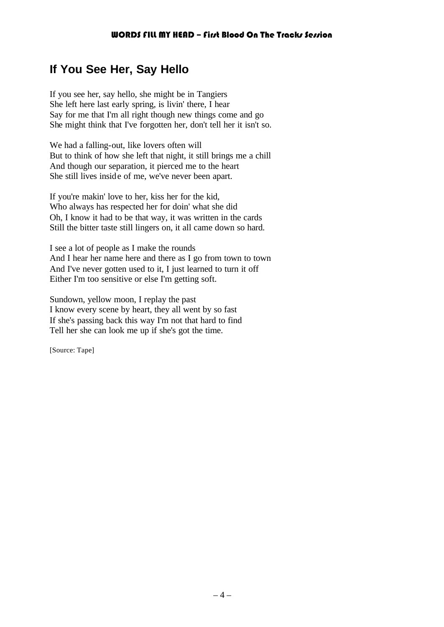## **If You See Her, Say Hello**

If you see her, say hello, she might be in Tangiers She left here last early spring, is livin' there, I hear Say for me that I'm all right though new things come and go She might think that I've forgotten her, don't tell her it isn't so.

We had a falling-out, like lovers often will But to think of how she left that night, it still brings me a chill And though our separation, it pierced me to the heart She still lives inside of me, we've never been apart.

If you're makin' love to her, kiss her for the kid, Who always has respected her for doin' what she did Oh, I know it had to be that way, it was written in the cards Still the bitter taste still lingers on, it all came down so hard.

I see a lot of people as I make the rounds And I hear her name here and there as I go from town to town And I've never gotten used to it, I just learned to turn it off Either I'm too sensitive or else I'm getting soft.

Sundown, yellow moon, I replay the past I know every scene by heart, they all went by so fast If she's passing back this way I'm not that hard to find Tell her she can look me up if she's got the time.

[Source: Tape]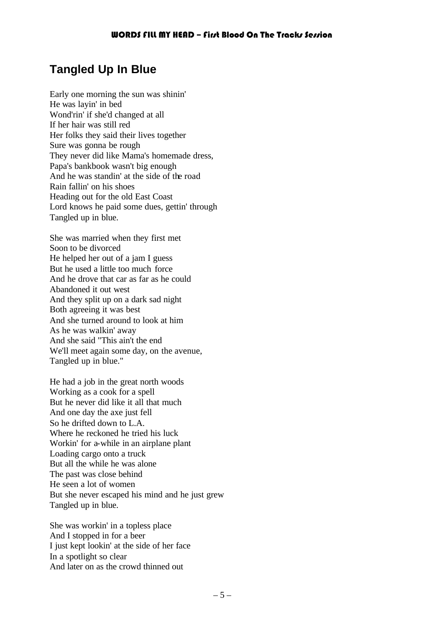### **Tangled Up In Blue**

Early one morning the sun was shinin' He was layin' in bed Wond'rin' if she'd changed at all If her hair was still red Her folks they said their lives together Sure was gonna be rough They never did like Mama's homemade dress, Papa's bankbook wasn't big enough And he was standin' at the side of the road Rain fallin' on his shoes Heading out for the old East Coast Lord knows he paid some dues, gettin' through Tangled up in blue.

She was married when they first met Soon to be divorced He helped her out of a jam I guess But he used a little too much force And he drove that car as far as he could Abandoned it out west And they split up on a dark sad night Both agreeing it was best And she turned around to look at him As he was walkin' away And she said "This ain't the end We'll meet again some day, on the avenue, Tangled up in blue."

He had a job in the great north woods Working as a cook for a spell But he never did like it all that much And one day the axe just fell So he drifted down to L.A. Where he reckoned he tried his luck Workin' for a-while in an airplane plant Loading cargo onto a truck But all the while he was alone The past was close behind He seen a lot of women But she never escaped his mind and he just grew Tangled up in blue.

She was workin' in a topless place And I stopped in for a beer I just kept lookin' at the side of her face In a spotlight so clear And later on as the crowd thinned out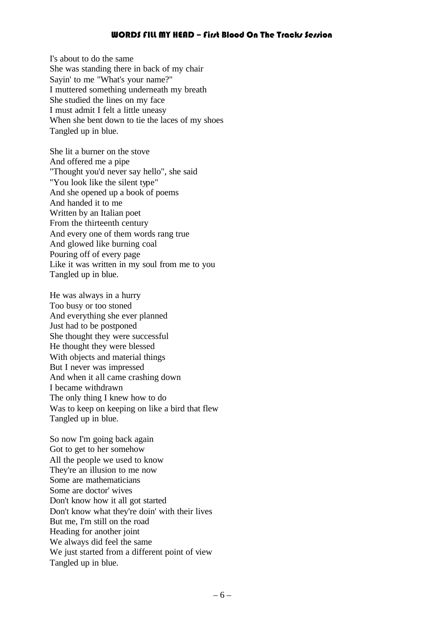#### *WORDS FILL MY HEAD – First Blood On The Tracks Session*

I's about to do the same She was standing there in back of my chair Sayin' to me "What's your name?" I muttered something underneath my breath She studied the lines on my face I must admit I felt a little uneasy When she bent down to tie the laces of my shoes Tangled up in blue.

She lit a burner on the stove And offered me a pipe "Thought you'd never say hello", she said "You look like the silent type" And she opened up a book of poems And handed it to me Written by an Italian poet From the thirteenth century And every one of them words rang true And glowed like burning coal Pouring off of every page Like it was written in my soul from me to you Tangled up in blue.

He was always in a hurry Too busy or too stoned And everything she ever planned Just had to be postponed She thought they were successful He thought they were blessed With objects and material things But I never was impressed And when it all came crashing down I became withdrawn The only thing I knew how to do Was to keep on keeping on like a bird that flew Tangled up in blue.

So now I'm going back again Got to get to her somehow All the people we used to know They're an illusion to me now Some are mathematicians Some are doctor' wives Don't know how it all got started Don't know what they're doin' with their lives But me, I'm still on the road Heading for another joint We always did feel the same We just started from a different point of view Tangled up in blue.